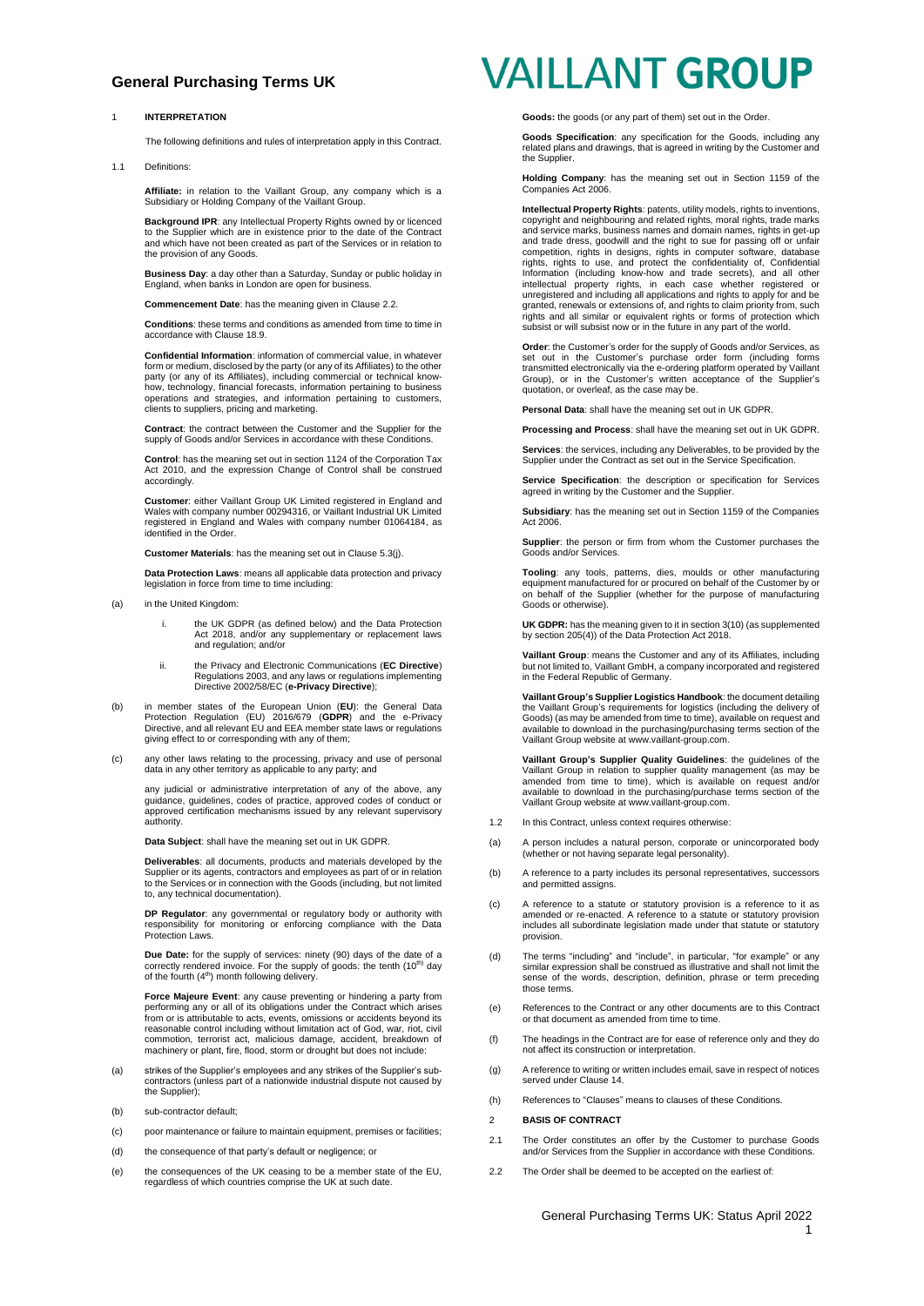#### 1 **INTERPRETATION**

The following definitions and rules of interpretation apply in this Contract.

1.1 Definitions:

**Affiliate:** in relation to the Vaillant Group, any company which is a Subsidiary or Holding Company of the Vaillant Group.

**Background IPR**: any Intellectual Property Rights owned by or licenced to the Supplier which are in existence prior to the date of the Contract and which have not been created as part of the Services or in relation to the provision of any Goods.

**Business Day**: a day other than a Saturday, Sunday or public holiday in England, when banks in London are open for business.

**ncement Date**: has the meaning given in Clause 2.2

**Conditions**: these terms and conditions as amended from time to time in accordance with Claus[e 18.9.](#page-4-0)

**Confidential Information**: information of commercial value, in whatever form or medium, disclosed by the party (or any of its Affiliates) to the other party (or any of its Affiliates), including commercial or technical know-how, technology, financial forecasts, information pertaining to business operations and strategies, and information pertaining to customers, clients to suppliers, pricing and marketing.

**Contract**: the contract between the Customer and the Supplier for the supply of Goods and/or Services in accordance with these Conditions.

**Control**: has the meaning set out in section 1124 of the Corporation Tax Act 2010, and the expression Change of Control shall be construed accordingly.

**Customer**: either Vaillant Group UK Limited registered in England and Wales with company number 00294316, or Vaillant Industrial UK Limited registered in England and Wales with company number 01064184, as identified in the Order.

**Customer Materials**: has the meaning set out in Claus[e 5.3\(j\).](#page-1-0)

**Data Protection Laws**: means all applicable data protection and privacy legislation in force from time to time including:

- (a) in the United Kingdom:
	- i. the UK GDPR (as defined below) and the Data Protection Act 2018, and/or any supplementary or replacement laws and regulation; and/or
	- ii. the Privacy and Electronic Communications (**EC Directive**) Regulations 2003, and any laws or regulations implementing Directive 2002/58/EC (**e-Privacy Directive**);
- (b) in member states of the European Union (EU): the General Data<br>Protection Regulation (EU) 2016/679 (GDPR) and the e-Privacy<br>Directive, and all relevant EU and EEA member state laws or regulations giving effect to or corresponding with any of them;
- (c) any other laws relating to the processing, privacy and use of personal data in any other territory as applicable to any party; and

any judicial or administrative interpretation of any of the above, any guidance, guidelines, codes of practice, approved codes of conduct or approved certification mechanisms issued by any relevant supervisory authority.

**Data Subject**: shall have the meaning set out in UK GDPR.

**Deliverables**: all documents, products and materials developed by the Supplier or its agents, contractors and employees as part of or in relation to the Services or in connection with the Goods (including, but not limited to, any technical documentation).

**DP Regulator**: any governmental or regulatory body or authority with responsibility for monitoring or enforcing compliance with the Data Protection Laws.

**Due Date:** for the supply of services: ninety (90) days of the date of a correctly rendered invoice. For the supply of goods: the tenth (10<sup>th)</sup> day of the fourth (4<sup>th</sup>) month following delivery.

**Force Majeure Event**: any cause preventing or hindering a party from performing any or all of its obligations under the Contract which arises from or is attributable to acts, events, omissions or accidents beyond its reasonable control including without limitation act of God, war, riot, civil commotion, terrorist act, malicious damage, accident, breakdown of machinery or plant, fire, flood, storm or drought but does not include:

- (a) strikes of the Supplier's employees and any strikes of the Supplier's sub-contractors (unless part of a nationwide industrial dispute not caused by the Supplier);
- (b) sub-contractor default;
- (c) poor maintenance or failure to maintain equipment, premises or facilities;
- (d) the consequence of that party's default or negligence; or
- (e) the consequences of the UK ceasing to be a member state of the EU, regardless of which countries comprise the UK at such date.

## **VAILLANT GROUP**

**Goods:** the goods (or any part of them) set out in the Order.

**Goods Specification**: any specification for the Goods, including any related plans and drawings, that is agreed in writing by the Customer and the Supplier

**Holding Company**: has the meaning set out in Section 1159 of the Companies Act 2006.

**Intellectual Property Rights**: patents, utility models, rights to inventions, copyright and neighbouring and related rights, moral rights, trade marks and service marks, business names and domain names, rights in get-up and trade dress, goodwill and the right to sue for passing off or unfair competition, rights in designs, rights in computer software, database rights, rights to use, and protect the confidentiality of, Confidential Information (including know-how and trade secrets), and all other intellectual property rights, in each case whether registered or unregistered and including all applications and rights to apply for and be granted, renewals or extensions of, and rights to claim priority from, such rights and all similar or equivalent rights or forms of protection which subsist or will subsist now or in the future in any part of the world.

**Order**: the Customer's order for the supply of Goods and/or Services, as set out in the Customer's purchase order form (including forms transmitted electronically via the e-ordering platform operated by Vaillant Group), or in the Customer's written acceptance of the Supplier's quotation, or overleaf, as the case may be.

**Personal Data**: shall have the meaning set out in UK GDPR.

**Processing and Process**: shall have the meaning set out in UK GDPR.

**Services**: the services, including any Deliverables, to be provided by the Supplier under the Contract as set out in the Service Specification.

**Service Specification**: the description or specification for Services agreed in writing by the Customer and the Supplier.

**Subsidiary**: has the meaning set out in Section 1159 of the Companies Act 2006.

**Supplier**: the person or firm from whom the Customer purchases the Goods and/or Services.

**Tooling**: any tools, patterns, dies, moulds or other manufacturing equipment manufactured for or procured on behalf of the Customer by or on behalf of the Supplier (whether for the purpose of manufacturing Goods or otherwise).

**UK GDPR:** has the meaning given to it in section 3(10) (as supplemented by section 205(4)) of the Data Protection Act 2018.

**Vaillant Group**: means the Customer and any of its Affiliates, including but not limited to, Vaillant GmbH, a company incorporated and registered in the Federal Republic of Germany.

**Vaillant Group's Supplier Logistics Handbook**: the document detailing the Vaillant Group's requirements for logistics (including the delivery of Goods) (as may be amended from time to time), available on request and available to download in the purchasing/purchasing terms section of the Vaillant Group website at www.vaillant-group.com.

**Vaillant Group's Supplier Quality Guidelines**: the guidelines of the Vaillant Group in relation to supplier quality management (as may be amended from time to time), which is available on request and/or available to download in the purchasing/purchase terms section of the Vaillant Group website at www.vaillant-group.com.

- 1.2 In this Contract, unless context requires otherwise
- (a) A person includes a natural person, corporate or unincorporated body (whether or not having separate legal personality).
- (b) A reference to a party includes its personal representatives, successors and permitted assigns.
- (c) A reference to a statute or statutory provision is a reference to it as amended or re-enacted. A reference to a statute or statutory provision includes all subordinate legislation made under that statute or statutory provision.
- (d) The terms "including" and "include", in particular, "for example" or any similar expression shall be construed as illustrative and shall not limit the sense of the words, description, definition, phrase or term preceding those terms.
- (e) References to the Contract or any other documents are to this Contract or that document as amended from time to time.
- (f) The headings in the Contract are for ease of reference only and they do not affect its construction or interpretation.
- (g) A reference to writing or written includes email, save in respect of notices served under Clause [14.](#page-3-0)
- (h) References to "Clauses" means to clauses of these Conditions.
- 2 **BASIS OF CONTRACT**
- 2.1 The Order constitutes an offer by the Customer to purchase Goods and/or Services from the Supplier in accordance with these Conditions.
- <span id="page-0-0"></span>2.2 The Order shall be deemed to be accepted on the earliest of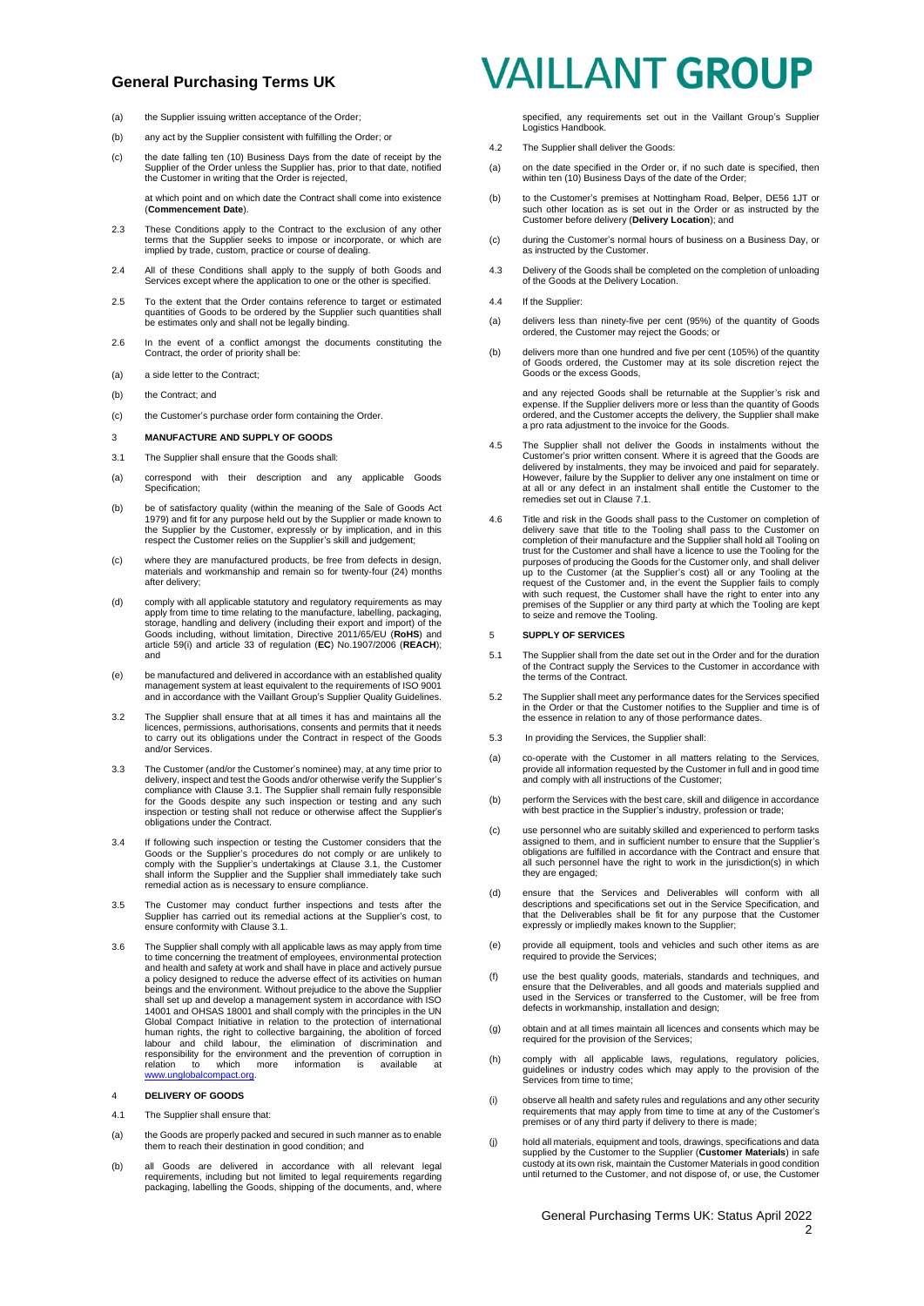- (a) the Supplier issuing written acceptance of the Order;
- (b) any act by the Supplier consistent with fulfilling the Order; or
- (c) the date falling ten (10) Business Days from the date of receipt by the Supplier of the Order unless the Supplier has, prior to that date, notified the Customer in writing that the Order is rejected,

at which point and on which date the Contract shall come into existence (**Commencement Date**).

- 2.3 These Conditions apply to the Contract to the exclusion of any other terms that the Supplier seeks to impose or incorporate, or which are implied by trade, custom, practice or course of dealing.
- 2.4 All of these Conditions shall apply to the supply of both Goods and Services except where the application to one or the other is specified.
- 2.5 To the extent that the Order contains reference to target or estimated quantities of Goods to be ordered by the Supplier such quantities shall be estimates only and shall not be legally binding.
- 2.6 In the event of a conflict amongst the documents constituting the Contract, the order of priority shall be:
- (a) a side letter to the Contract;
- (b) the Contract: and
- (c) the Customer's purchase order form containing the Order.
- 3 **MANUFACTURE AND SUPPLY OF GOODS**
- <span id="page-1-1"></span>3.1 The Supplier shall ensure that the Goods shall:
- (a) correspond with their description and any applicable Goods Specification:
- (b) be of satisfactory quality (within the meaning of the Sale of Goods Act 1979) and fit for any purpose held out by the Supplier or made known to the Supplier by the Customer, expressly or by implication, and in this res
- (c) where they are manufactured products, be free from defects in design, materials and workmanship and remain so for twenty-four (24) months after delivery;
- (d) comply with all applicable statutory and regulatory requirements as may apply from time to time relating to the manufacture, labelling, packaging,<br>storage, handling and delivery (including their export and import) of the<br>Goods including, without limitation, Directive 2011/65/EU (**RoHS**) and<br>ar and
- (e) be manufactured and delivered in accordance with an established quality management system at least equivalent to the requirements of ISO 9001 and in accordance with the Vaillant Group's Supplier Quality Guidelines.
- 3.2 The Supplier shall ensure that at all times it has and maintains all the licences, permissions, authorisations, consents and permits that it needs to carry out its obligations under the Contract in respect of the Goods and/or Services.
- 3.3 The Customer (and/or the Customer's nominee) may, at any time prior to delivery, inspect and test the Goods and/or otherwise verify the Supplier's compliance with Clause [3.1.](#page-1-1) The Supplier shall remain fully responsible for the Goods despite any such inspection or testing and any such inspection or testing shall not reduce or otherwise affect the Supplier's obligations under the Contract.
- 3.4 If following such inspection or testing the Customer considers that the Goods or the Supplier's procedures do not comply or are unlikely to comply with the Supplier's undertakings at Clause [3.1,](#page-1-1) the Customer shall inform the Supplier and the Supplier shall immediately take such remedial action as is necessary to ensure compliance.
- 3.5 The Customer may conduct further inspections and tests after the Supplier has carried out its remedial actions at the Supplier's cost, to ensure conformity with Clause [3.1.](#page-1-1)
- 3.6 The Supplier shall comply with all applicable laws as may apply from time<br>to time concerning the treatment of employees, environmental protection<br>and health and safety at work and shall have in place and actively pursu a policy designed to reduce the adverse effect of its activities on human beings and the environment. Without prejudice to the above the Supplier shall set up and develop a management system in accordance with ISO 14001 and OHSAS 18001 and shall comply with the principles in the UN Global Compact Initiative in relation to the protection of international human rights, the right to collective bargaining, the abolition of forced labour and child labour, the elimination correlation and responsibility for relation to which more information is available at<br>www.unglobalcompact.org.

#### 4 **DELIVERY OF GOODS**

- 4.1 The Supplier shall ensure that:
- (a) the Goods are properly packed and secured in such manner as to enable them to reach their destination in good condition; and
- (b) all Goods are delivered in accordance with all relevant legal requirements, including but not limited to legal requirements regarding packaging, labelling the Goods, shipping of the documents, and, where

## **VAILLANT GROUP**

specified, any requirements set out in the Vaillant Group's Supplier Logistics Handbook.

- 4.2 The Supplier shall deliver the Goods:
- (a) on the date specified in the Order or, if no such date is specified, then within ten (10) Business Days of the date of the Order
- (b) to the Customer's premises at Nottingham Road, Belper, DE56 1JT or such other location as is set out in the Order or as instructed by the Customer before delivery (**Delivery Location**); and
- (c) during the Customer's normal hours of business on a Business Day, or as instructed by the Customer.
- 4.3 Delivery of the Goods shall be completed on the completion of unloading of the Goods at the Delivery Location.
- 4.4 If the Supplier:
- (a) delivers less than ninety-five per cent (95%) of the quantity of Goods ordered, the Customer may reject the Goods; or
- (b) delivers more than one hundred and five per cent (105%) of the quantity of Goods ordered, the Customer may at its sole discretion reject the Goods or the excess Goods,

and any rejected Goods shall be returnable at the Supplier's risk and expense. If the Supplier delivers more or less than the quantity of Goods ordered, and the Customer accepts the delivery, the Supplier shall make a pro rata adjustment to the invoice for the Goods.

- 4.5 The Supplier shall not deliver the Goods in instalments without the Customer's prior written consent. Where it is agreed that the Goods are delivered by instalments, they may be invoiced and paid for separately. However, failure by the Supplier to deliver any one instalment on time or at all or any defect in an instalment shall entitle the Customer to the remedies set out in Clause [7.1.](#page-2-0)
- 4.6 Title and risk in the Goods shall pass to the Customer on completion of delivery save that title to the Tooling shall pass to the Customer on completion of their manufacture and the Supplier shall hold all Tooling on trust for the Customer and shall have a licence to use the Tooling for the purposes of producing the Goods for the Customer only, and shall deliver up to the Customer (at the Supplier's cost) all or any Tooling at the request of the Customer and, in the event the Supplier fails to comply with such request, the Customer shall have the right to enter into any premises of the Supplier or any third party at which the Tooling are kept to seize and remove the Tooling.

#### 5 **SUPPLY OF SERVICES**

- 5.1 The Supplier shall from the date set out in the Order and for the duration of the Contract supply the Services to the Customer in accordance with the terms of the Contract.
- 5.2 The Supplier shall meet any performance dates for the Services specified in the Order or that the Customer notifies to the Supplier and time is of the essence in relation to any of those performance dates.
- 5.3 In providing the Services, the Supplier shall:
- (a) co-operate with the Customer in all matters relating to the Services, provide all information requested by the Customer in full and in good time and comply with all instructions of the Customer;
- (b) perform the Services with the best care, skill and diligence in accordance with best practice in the Supplier's industry, profession or trade;
- (c) use personnel who are suitably skilled and experienced to perform tasks assigned to them, and in sufficient number to ensure that the Supplier's obligations are fulfilled in accordance with the Contract and ensure that all such personnel have the right to work in the jurisdiction(s) in which they are engaged;
- (d) ensure that the Services and Deliverables will conform with all descriptions and specifications set out in the Service Specification, and that the Deliverables shall be fit for any purpose that the Customer expressly or impliedly makes known to the Supplier;
- (e) provide all equipment, tools and vehicles and such other items as are required to provide the Services;
- (f) use the best quality goods, materials, standards and techniques, and ensure that the Deliverables, and all goods and materials supplied and used in the Services or transferred to the Customer, will be free from defects in workmanship, installation and design;
- (g) obtain and at all times maintain all licences and consents which may be required for the provision of the Services;
- <span id="page-1-2"></span>(h) comply with all applicable laws, regulations, regulatory policies, guidelines or industry codes which may apply to the provision of the Services from time to time;
- (i) observe all health and safety rules and regulations and any other security requirements that may apply from time to time at any of the Customer's premises or of any third party if delivery to there is made;
- <span id="page-1-0"></span>(j) hold all materials, equipment and tools, drawings, specifications and data supplied by the Customer to the Supplier (**Customer Materials**) in safe custody at its own risk, maintain the Customer Materials in good condition until returned to the Customer, and not dispose of, or use, the Customer

#### General Purchasing Terms UK: Status April 2022  $\mathfrak{p}$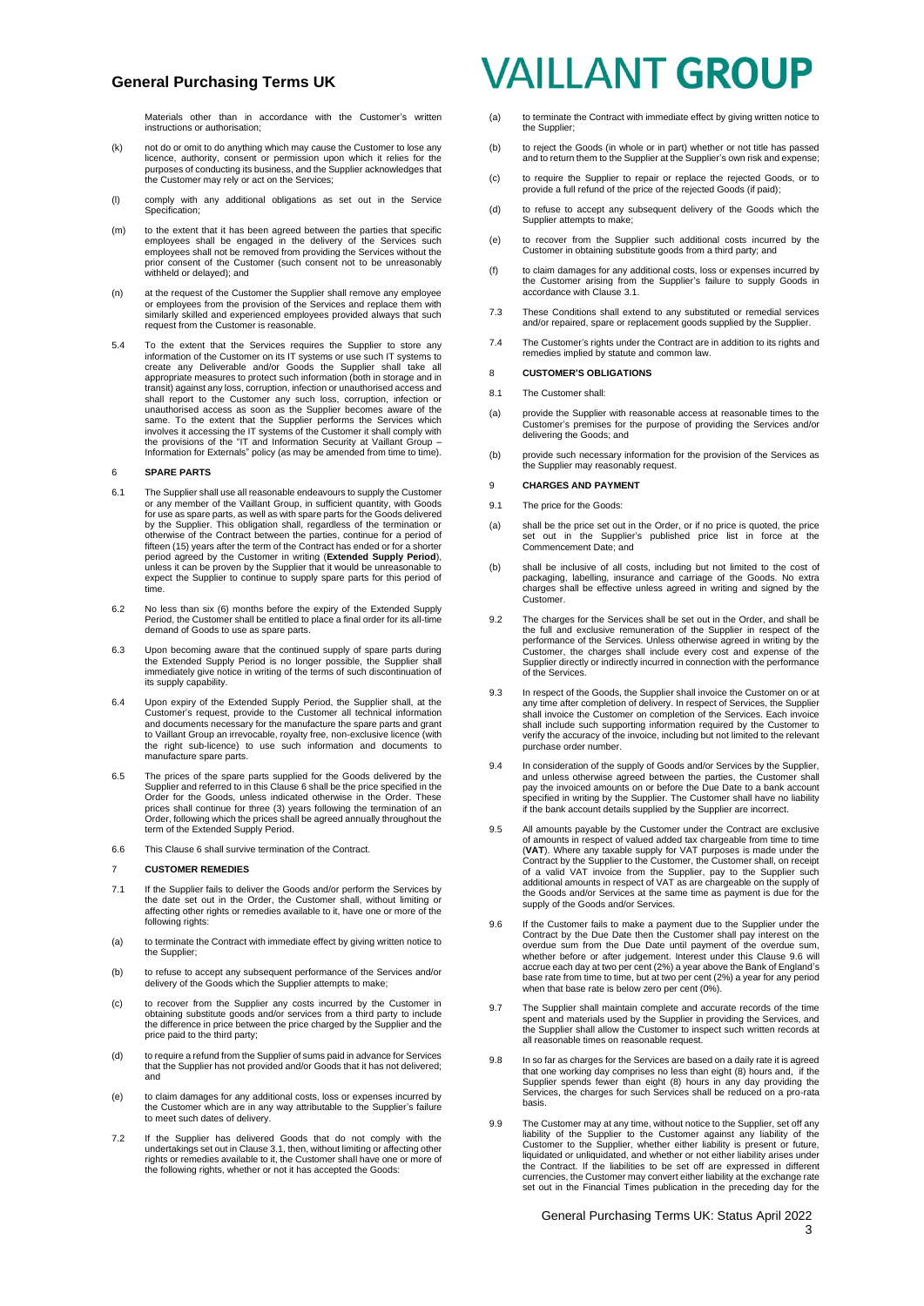Materials other than in accordance with the Customer's written instructions or authorisation;

- (k) not do or omit to do anything which may cause the Customer to lose any licence, authority, consent or permission upon which it relies for the purposes of conducting its business, and the Supplier acknowledges that the Customer may rely or act on the Services;
- (l) comply with any additional obligations as set out in the Service Specification:
- (m) to the extent that it has been agreed between the parties that specific employees shall be engaged in the delivery of the Services such employees shall not be removed from providing the Services without the prior consent of the Customer (such consent not to be unreasonably withheld or delayed); and
- (n) at the request of the Customer the Supplier shall remove any employee or employees from the provision of the Services and replace them with similarly skilled and experienced employees provided always that such request from the Customer is reasonable.
- 5.4 To the extent that the Services requires the Supplier to store any information of the Customer on its IT systems or use such IT systems to create any Deliverable and/or Goods the Supplier shall take all appropriate measures to protect such information (both in storage and in transit) against any loss, corruption, infection or unauthorised access and shall report to the Customer any such loss, corruption, infection or unauthorised access as soon as the Supplier becomes aware of the same. To the extent that the Supplier performs the Services which involves it accessing the IT systems of the Customer it shall comply with the provisions of the "IT and Information Security at Vaillant Group – Information for Externals" policy (as may be amended from time to time).

#### <span id="page-2-1"></span>6 **SPARE PARTS**

- 6.1 The Supplier shall use all reasonable endeavours to supply the Customer or any member of the Vaillant Group, in sufficient quantity, with Goods for use as spare parts, as well as with spare parts for the Goods delivered by the Supplier. This obligation shall, regardless of the termination or otherwise of the Contract between the parties, continue for a period of fifteen (15) years after the term of the Contract has ended or for a shorter period agreed by the Customer in writing (**Extended Supply Period**), unless it can be proven by the Supplier that it would be unreasonable to expect the Supplier to continue to supply spare parts for this period of time.
- 6.2 No less than six (6) months before the expiry of the Extended Supply Period, the Customer shall be entitled to place a final order for its all-time demand of Goods to use as spare parts.
- 6.3 Upon becoming aware that the continued supply of spare parts during the Extended Supply Period is no longer possible, the Supplier shall immediately give notice in writing of the terms of such discontinuation of its supply capability.
- 6.4 Upon expiry of the Extended Supply Period, the Supplier shall, at the Customer's request, provide to the Customer all technical information and documents necessary for the manufacture the spare parts and grant to Vaillant Group an irrevocable, royalty free, non-exclusive licence (with the right sub-licence) to use such information and documents to manufacture spare parts.
- 6.5 The prices of the spare parts supplied for the Goods delivered by the Supplier and referred to in this Claus[e 6](#page-2-1) shall be the price specified in the Order for the Goods, unless indicated otherwise in the Order. These prices shall continue for three (3) years following the termination of an Order, following which the prices shall be agreed annually throughout the term of the Extended Supply Period.
- 6.6 This Clause 6 shall survive termination of the Contract.

#### 7 **CUSTOMER REMEDIES**

- <span id="page-2-0"></span>7.1 If the Supplier fails to deliver the Goods and/or perform the Services by the date set out in the Order, the Customer shall, without limiting or affecting other rights or remedies available to it, have one or more of the following rights:
- (a) to terminate the Contract with immediate effect by giving written notice to the Supplier;
- (b) to refuse to accept any subsequent performance of the Services and/or delivery of the Goods which the Supplier attempts to make;
- (c) to recover from the Supplier any costs incurred by the Customer in obtaining substitute goods and/or services from a third party to include the difference in price between the price charged by the Supplier and the price paid to the third party;
- (d) to require a refund from the Supplier of sums paid in advance for Services that the Supplier has not provided and/or Goods that it has not delivered; and
- (e) to claim damages for any additional costs, loss or expenses incurred by the Customer which are in any way attributable to the Supplier's failure to meet such dates of delivery.
- 7.2 If the Supplier has delivered Goods that do not comply with the undertakings set out in Clause [3.1,](#page-1-1) then, without limiting or affecting other rights or remedies available to it, the Customer shall have one or more of the following rights, whether or not it has accepted the Goods:

## **VAILLANT GROUP**

- (a) to terminate the Contract with immediate effect by giving written notice to the Supplier;
- (b) to reject the Goods (in whole or in part) whether or not title has passed and to return them to the Supplier at the Supplier's own risk and expense;
- (c) to require the Supplier to repair or replace the rejected Goods, or to provide a full refund of the price of the rejected Goods (if paid);
- (d) to refuse to accept any subsequent delivery of the Goods which the Supplier attempts to make;
- (e) to recover from the Supplier such additional costs incurred by the Customer in obtaining substitute goods from a third party; and
- (f) to claim damages for any additional costs, loss or expenses incurred by the Customer arising from the Supplier's failure to supply Goods in accordance with Claus[e 3.1.](#page-1-1)
- 7.3 These Conditions shall extend to any substituted or remedial services and/or repaired, spare or replacement goods supplied by the Supplier.
- 7.4 The Customer's rights under the Contract are in addition to its rights and remedies implied by statute and common law.

#### 8 **CUSTOMER'S OBLIGATIONS**

- 8.1 The Customer shall:
- (a) provide the Supplier with reasonable access at reasonable times to the Customer's premises for the purpose of providing the Services and/or delivering the Goods; and
- (b) provide such necessary information for the provision of the Services as the Supplier may reasonably request.

#### <span id="page-2-3"></span>9 **CHARGES AND PAYMENT**

- 9.1 The price for the Goods
- (a) shall be the price set out in the Order, or if no price is quoted, the price set out in the Supplier's published price list in force at the Commencement Date; and
- (b) shall be inclusive of all costs, including but not limited to the cost of packaging, labelling, insurance and carriage of the Goods. No extra charges shall be effective unless agreed in writing and signed by the Customer.
- 9.2 The charges for the Services shall be set out in the Order, and shall be the full and exclusive remuneration of the Supplier in respect of the performance of the Services. Unless otherwise agreed in writing by the Customer, the charges shall include every cost and expense of the Supplier direct of the Services.
- 9.3 In respect of the Goods, the Supplier shall invoice the Customer on or at any time after completion of delivery. In respect of Services, the Supplier shall invoice the Customer on completion of the Services. Each invoice shall include such supporting information required by the Customer to verify the accuracy of the invoice, including but not limited to the relevant purchase order number.
- 9.4 In consideration of the supply of Goods and/or Services by the Supplier, and unless otherwise agreed between the parties, the Customer shall pay the invoiced amounts on or before the Due Date to a bank account specified in writing by the Supplier. The Customer shall have no liability if the bank account details supplied by the Supplier are incorrect.
- 9.5 All amounts payable by the Customer under the Contract are exclusive of amounts in respect of valued added tax chargeable from time to time (**VAT**). Where any taxable supply for VAT purposes is made under the Contract by the Supplier to the Customer, the Customer shall, on receipt of a valid VAT invoice from the Supplier, pay to the Supplier such additional amounts in respect of VAT as are chargeable on the supply of the Goods supply of the Goods and/or Services.
- <span id="page-2-2"></span>9.6 If the Customer fails to make a payment due to the Supplier under the Contract by the Due Date then the Customer shall pay interest on the overdue sum from the Due Date until payment of the overdue sum, whether before or after judgement. Interest under this Clause [9.6](#page-2-2) will accrue each day at two per cent (2%) a year above the Bank of England's base rate from time to time, but at two per cent (2%) a year for any period when that base rate is below zero per cent (0%).
- 9.7 The Supplier shall maintain complete and accurate records of the time spent and materials used by the Supplier in providing the Services, and the Supplier shall allow the Customer to inspect such written records at all reasonable times on reasonable request.
- 9.8 In so far as charges for the Services are based on a daily rate it is agreed that one working day comprises no less than eight (8) hours and, if the Supplier spends fewer than eight (8) hours in any day providing the Services, the charges for such Services shall be reduced on a pro-rata basis.
- 9.9 The Customer may at any time, without notice to the Supplier, set off any liability of the Supplier to the Customer against any liability of the<br>Customer to the Supplier, whether either liability is present or future,<br>liquidated or unliquidated, and whether or not either liability arises under the Contract. If the liabilities to be set off are expressed in different currencies, the Customer may convert either liability at the exchange rate set out in the Financial Times publication in the preceding day for the

General Purchasing Terms UK: Status April 2022 3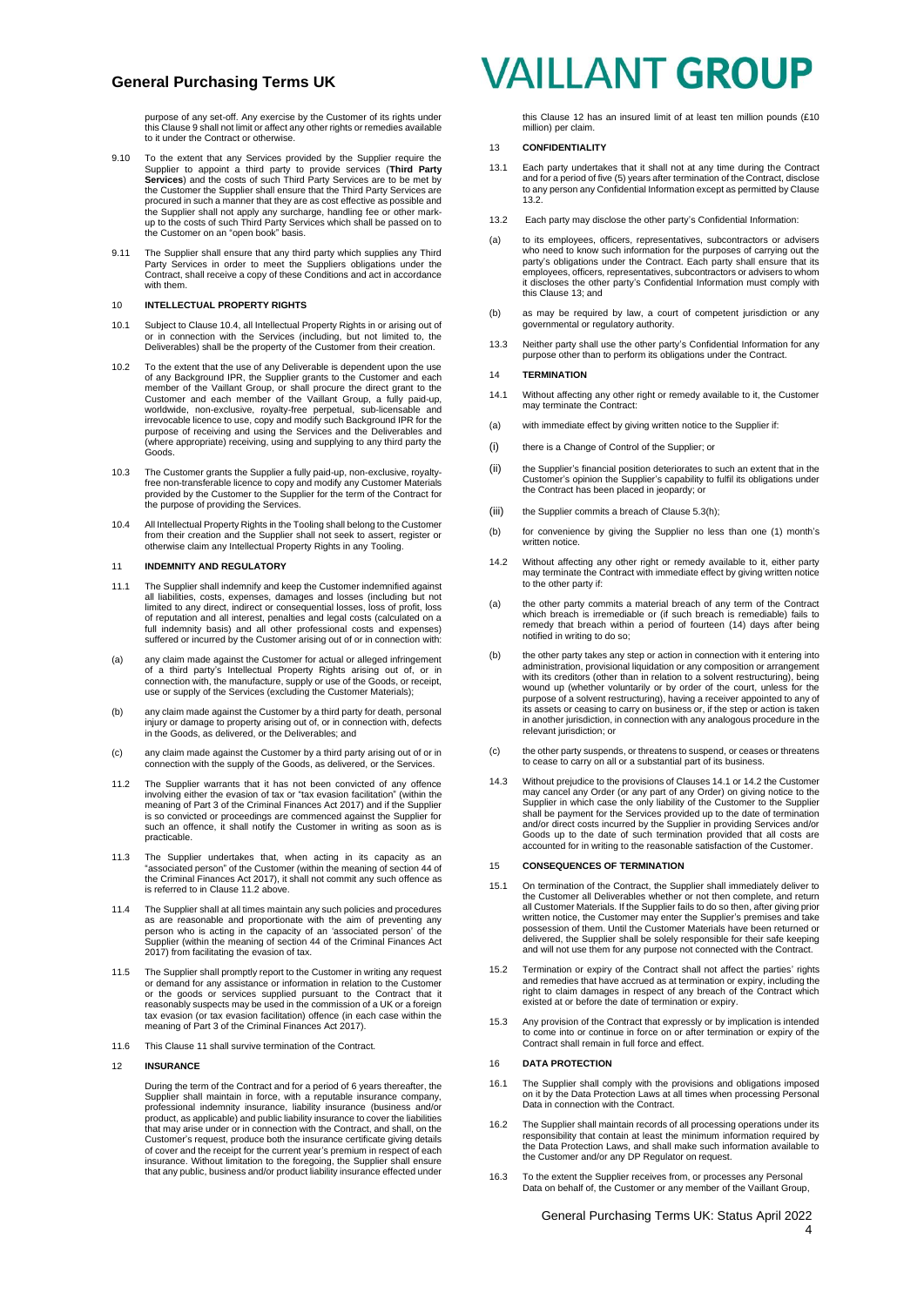purpose of any set-off. Any exercise by the Customer of its rights under this Claus[e 9](#page-2-3) shall not limit or affect any other rights or remedies available to it under the Contract or otherwise.

- 9.10 To the extent that any Services provided by the Supplier require the Supplier to appoint a third party to provide services (Third Party Services) and the costs of such Third Party Services are to be met by the Customer the Supplier shall ensure that the Third Party Services are procured in such a manner that they are as cost effective as possible and the Supplier shall not apply any surcharge, handling fee or other mark-up to the costs of such Third Party Services which shall be passed on to the Customer on an "open book" basis.
- 9.11 The Supplier shall ensure that any third party which supplies any Third Party Services in order to meet the Suppliers obligations under the Contract, shall receive a copy of these Conditions and act in accordance with them.

#### 10 **INTELLECTUAL PROPERTY RIGHTS**

- 10.1 Subject to Claus[e 10.4,](#page-3-1) all Intellectual Property Rights in or arising out of or in connection with the Services (including, but not limited to, the Deliverables) shall be the property of the Customer from their creation.
- 10.2 To the extent that the use of any Deliverable is dependent upon the use of any Background IPR, the Supplier grants to the Customer and each<br>member of the Vaillant Group, or shall procure the direct grant to the<br>Customer and each member of the Vaillant Group, a fully paid-up,<br>worldwide, non-exc (where appropriate) receiving, using and supplying to any third party the Goods.
- 10.3 The Customer grants the Supplier a fully paid-up, non-exclusive, royalty-free non-transferable licence to copy and modify any Customer Materials provided by the Customer to the Supplier for the term of the Contract for the purpose of providing the Services.
- <span id="page-3-1"></span>10.4 All Intellectual Property Rights in the Tooling shall belong to the Customer from their creation and the Supplier shall not seek to assert, register or otherwise claim any Intellectual Property Rights in any Tooling.

#### <span id="page-3-3"></span>11 **INDEMNITY AND REGULATORY**

- 11.1 The Supplier shall indemnify and keep the Customer indemnified against all liabilities, costs, expenses, damages and losses (including but not limited to any direct, indirect or consequential losses, loss of profit, loss of reputation and all interest, penalties and legal costs (calculated on a full indemnity basis) and all other professional costs and expenses) suffered or incurred by the Customer arising out of or in connection with:
- (a) any claim made against the Customer for actual or alleged infringement of a third party's Intellectual Property Rights arising out of, or in connection with, the manufacture, supply or use of the Goods, or receipt, use or supply of the Services (excluding the Customer Materials);
- (b) any claim made against the Customer by a third party for death, personal injury or damage to property arising out of, or in connection with, defects in the Goods, as delivered, or the Deliverables; and
- (c) any claim made against the Customer by a third party arising out of or in connection with the supply of the Goods, as delivered, or the Services.
- <span id="page-3-2"></span>11.2 The Supplier warrants that it has not been convicted of any offence involving either the evasion of tax or "tax evasion facilitation" (within the meaning of Part 3 of the Criminal Finances Act 2017) and if the Supplier is so convicted or proceedings are commenced against the Supplier for such an offence, it shall notify the Customer in writing as soon as is practicable.
- 11.3 The Supplier undertakes that, when acting in its capacity as an "associated person" of the Customer (within the meaning of section 44 of the Criminal Finances Act 2017), it shall not commit any such offence as is referred to in Claus[e 11.2](#page-3-2) above.
- 11.4 The Supplier shall at all times maintain any such policies and procedures as are reasonable and proportionate with the aim of preventing any person who is acting in the capacity of an 'associated person' of the Supplier (within the meaning of section 44 of the Criminal Finances Act 2017) from facilitating the evasion of tax.
- 11.5 The Supplier shall promptly report to the Customer in writing any request or demand for any assistance or information in relation to the Customer or the goods or services supplied pursuant to the Contract that it reasonably suspects may be used in the commission of a UK or a foreign tax evasion (or tax evasion facilitation) offence (in each case within the meaning of Part 3 of the Criminal Finances Act 2017).
- 11.6 This Claus[e 11](#page-3-3) shall survive termination of the Contract.

#### <span id="page-3-4"></span>12 **INSURANCE**

During the term of the Contract and for a period of 6 years thereafter, the<br>Supplier shall maintain in force, with a reputable insurance company,<br>professional indemnity insurance, liability insurance (business and/or<br>produ that may arise under or in connection with the Contract, and shall, on the Customer's request, produce both the insurance certificate giving details of cover and the receipt for the current year's premium in respect of each insurance. Without limitation to the foregoing, the Supplier shall ensure that any public, business and/or product liability insurance effected under

## **VAILLANT GROUP**

this Claus[e 12](#page-3-4) has an insured limit of at least ten million pounds (£10 million) per claim.

#### <span id="page-3-6"></span>13 **CONFIDENTIALITY**

- 13.1 Each party undertakes that it shall not at any time during the Contract and for a period of five (5) years after termination of the Contract, disclose to any person any Confidential Information except as permitted by Clause [13.2.](#page-3-5)
- <span id="page-3-5"></span>13.2 Each party may disclose the other party's Confidential Information:
- (a) to its employees, officers, representatives, subcontractors or advisers who need to know such information for the purposes of carrying out the party's obligations under the Contract. Each party shall ensure that its employees, officers, representatives, subcontractors or advisers to whom it discloses the other party's Confidential Information must comply with this Claus[e 13;](#page-3-6) and
- (b) as may be required by law, a court of competent jurisdiction or any governmental or regulatory authority.
- 13.3 Neither party shall use the other party's Confidential Information for any purpose other than to perform its obligations under the Contract.

#### <span id="page-3-0"></span>14 **TERMINATION**

- <span id="page-3-7"></span>14.1 Without affecting any other right or remedy available to it, the Customer may terminate the Contract:
- (a) with immediate effect by giving written notice to the Supplier if:
- (i) there is a Change of Control of the Supplier; or
- (ii) the Supplier's financial position deteriorates to such an extent that in the Customer's opinion the Supplier's capability to fulfil its obligations under the Contract has been placed in jeopardy; or
- (iii) the Supplier commits a breach of Claus[e 5.3\(h\);](#page-1-2)
- (b) for convenience by giving the Supplier no less than one (1) month's written notice.
- <span id="page-3-8"></span>14.2 Without affecting any other right or remedy available to it, either party may terminate the Contract with immediate effect by giving written notice to the other party if:
- (a) the other party commits a material breach of any term of the Contract which breach is irremediable or (if such breach is remediable) fails to remedy that breach within a period of fourteen (14) days after being notified in writing to do so;
- (b) the other party takes any step or action in connection with it entering into administration, provisional liquidation or any composition or arrangement with its creditors (other than in relation to a solvent restructuring), being which is steaked (stile) than in folded to a selvent restracturing), seing<br>wound up (whether voluntarily or by order of the court, unless for the purpose of a solvent restructuring), having a receiver appointed to any of its assets or ceasing to carry on business or, if the step or action is taken in another jurisdiction, in connection with any analogous procedure in the relevant jurisdiction; or
- (c) the other party suspends, or threatens to suspend, or ceases or threatens to cease to carry on all or a substantial part of its business.
- 14.3 Without prejudice to the provisions of Clause[s 14.1](#page-3-7) o[r 14.2](#page-3-8) the Customer may cancel any Order (or any part of any Order) on giving notice to the Supplier in which case the only liability of the Customer to the Supplier shall be payment for the Services provided up to the date of termination and/or direct costs incurred by the Supplier in providing Services and/or Goods up to the date of such termination provided that all costs are accounted for in writing to the reasonable satisfaction of the Customer.

#### 15 **CONSEQUENCES OF TERMINATION**

- 15.1 On termination of the Contract, the Supplier shall immediately deliver to the Customer all Deliverables whether or not then complete, and return all Customer Materials. If the Supplier fails to do so then, after giving prior written notice, the Customer may enter the Supplier's premises and take possession of them. Until the Customer Materials have been returned or delivered, the Supplier shall be solely responsible for their safe keeping and will not use them for any purpose not connected with the Contract.
- 15.2 Termination or expiry of the Contract shall not affect the parties' rights and remedies that have accrued as at termination or expiry, including the right to claim damages in respect of any breach of the Contract which existed at or before the date of termination or expiry.
- 15.3 Any provision of the Contract that expressly or by implication is intended to come into or continue in force on or after termination or expiry of the Contract shall remain in full force and effect.

#### <span id="page-3-10"></span>16 **DATA PROTECTION**

- 16.1 The Supplier shall comply with the provisions and obligations imposed on it by the Data Protection Laws at all times when processing Personal Data in connection with the Contract.
- 16.2 The Supplier shall maintain records of all processing operations under its responsibility that contain at least the minimum information required by the Data Protection Laws, and shall make such information available to the Customer and/or any DP Regulator on request.
- <span id="page-3-9"></span>16.3 To the extent the Supplier receives from, or processes any Personal Data on behalf of, the Customer or any member of the Vaillant Group,

## General Purchasing Terms UK: Status April 2022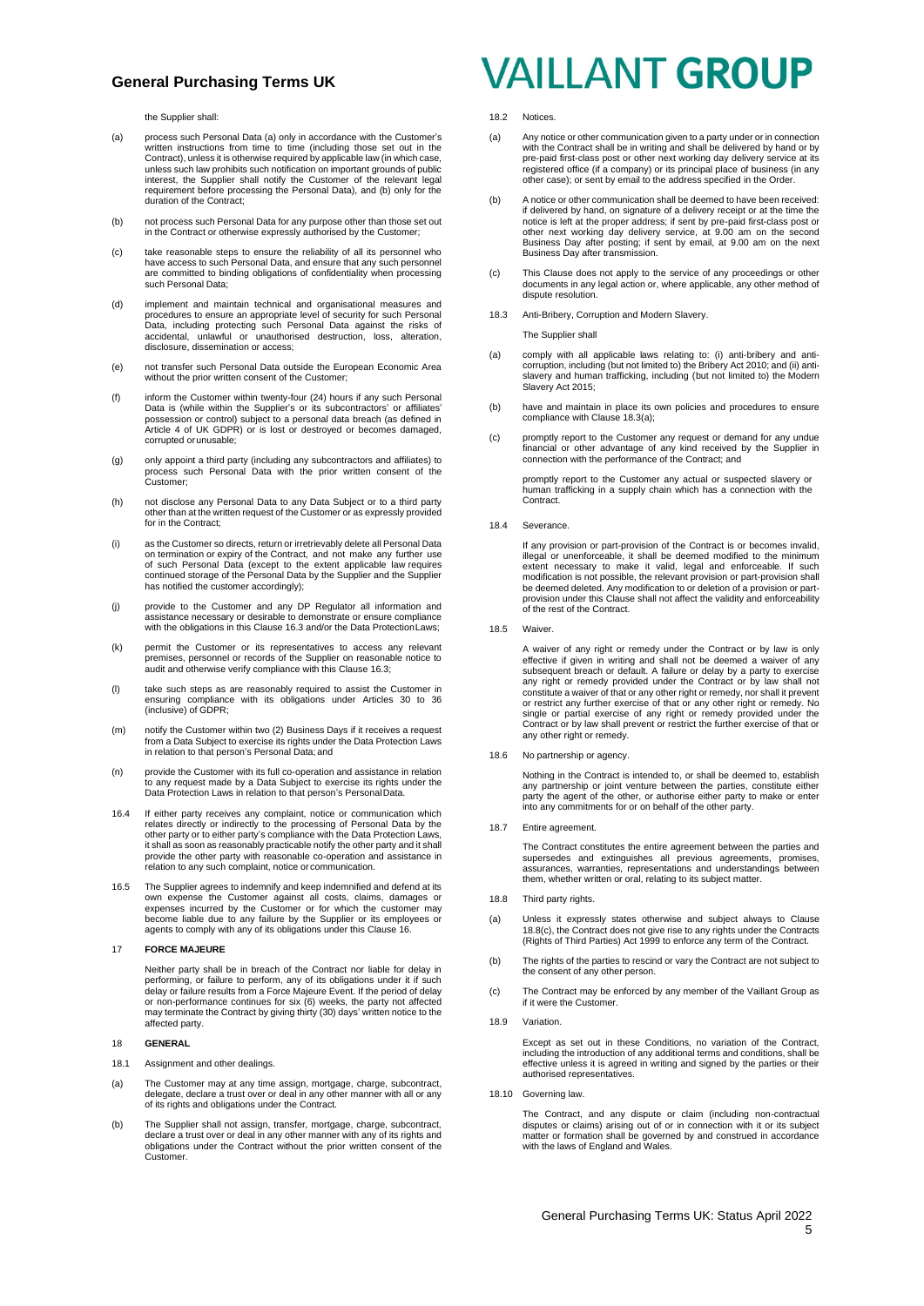the Supplier shall:

- (a) process such Personal Data (a) only in accordance with the Customer's written instructions from time to time (including those set out in the Contract), unless it is otherwise required by applicable law (in which case, unless such law prohibits such notification on important grounds of public interest, the Supplier shall notify the Customer of the relevant legal requirement before processing the Personal Data), and (b) only for the duration of the Contract;
- (b) not process such Personal Data for any purpose other than those set out in the Contract or otherwise expressly authorised by the Customer;
- (c) take reasonable steps to ensure the reliability of all its personnel who have access to such Personal Data, and ensure that any such personnel are committed to binding obligations of confidentiality when processing such Personal Data;
- (d) implement and maintain technical and organisational measures and procedures to ensure an appropriate level of security for such Personal Data, including protecting such Personal Data against the risks of accidental, unlawful or unauthorised destruction, loss, alteration, disclosure, dissemination or access;
- (e) not transfer such Personal Data outside the European Economic Area without the prior written consent of the Customer;
- (f) inform the Customer within twenty-four (24) hours if any such Personal Data is (while within the Supplier's or its subcontractors' or affiliates' possession or control) subject to a personal data breach (as defined in Article 4 of UK GDPR) or is lost or destroyed or becomes damaged, corrupted orunusable;
- (g) only appoint a third party (including any subcontractors and affiliates) to process such Personal Data with the prior written consent of the Customer;
- (h) not disclose any Personal Data to any Data Subject or to a third party other than at the written request of the Customer or as expressly provided for in the Contract:
- (i) as the Customer so directs, return or irretrievably delete all Personal Data on termination or expiry of the Contract, and not make any further use of such Personal Data (except to the extent applicable law requires continued storage of the Personal Data by the Supplier and the Supplier has notified the customer accordingly);
- (j) provide to the Customer and any DP Regulator all information and assistance necessary or desirable to demonstrate or ensure compliance with the obligations in this Claus[e 16.3](#page-3-9) and/or the Data ProtectionLaws;
- (k) permit the Customer or its representatives to access any relevant premises, personnel or records of the Supplier on reasonable notice to audit and otherwise verify compliance with this Claus[e 16.3;](#page-3-9)
- (l) take such steps as are reasonably required to assist the Customer in ensuring compliance with its obligations under Articles 30 to 36 (inclusive) of GDPR;
- (m) notify the Customer within two (2) Business Days if it receives a request from a Data Subject to exercise its rights under the Data Protection Laws in relation to that person's Personal Data; and
- (n) provide the Customer with its full co-operation and assistance in relation to any request made by a Data Subject to exercise its rights under the Data Protection Laws in relation to that person's PersonalData.
- 16.4 If either party receives any complaint, notice or communication which relates directly or indirectly to the processing of Personal Data by the other party or to either party's compliance with the Data Protection Laws, it shall as soon as reasonably practicable notify the other party and it shall provide the other party with reasonable co-operation and assistance in relation to any such complaint, notice or communication.
- 16.5 The Supplier agrees to indemnify and keep indemnified and defend at its own expense the Customer against all costs, claims, damages or expenses incurred by the Customer or for which the customer may become liable due to any failure by the Supplier or its employees or agents to comply with any of its obligations under this Claus[e 16.](#page-3-10)

#### 17 **FORCE MAJEURE**

Neither party shall be in breach of the Contract nor liable for delay in<br>performing, or failure to perform, any of its obligations under it if such<br>delay or failure results from a Force Majeure Event. If the period of dela may terminate the Contract by giving thirty (30) days' written notice to the affected party.

#### 18 **GENERAL**

- 18.1 Assignment and other dealings.
- (a) The Customer may at any time assign, mortgage, charge, subcontract, delegate, declare a trust over or deal in any other manner with all or any of its rights and obligations under the Contract.
- (b) The Supplier shall not assign, transfer, mortgage, charge, subcontract, declare a trust over or deal in any other manner with any of its rights and obligations under the Contract without the prior written consent of the Customer.

## **VAILLANT GROUP**

#### 18.2 Notices.

- (a) Any notice or other communication given to a party under or in connection with the Contract shall be in writing and shall be delivered by hand or by with the Contract shall be in writing and shall be delivered by hand or by pre-paid first-class post or other next working day delivery service at its registered office (if a company) or its principal place of business (in any other case); or sent by email to the address specified in the Order.
- (b) A notice or other communication shall be deemed to have been received: if delivered by hand, on signature of a delivery receipt or at the time the notice is left at the proper address; if sent by pre-paid first-class post or other next working day delivery service, at 9.00 am on the second Business Day after posting; if sent by email, at 9.00 am on the next Business Day after transmission.
- (c) This Clause does not apply to the service of any proceedings or other documents in any legal action or, where applicable, any other method of dispute resolution.
- 18.3 Anti-Bribery, Corruption and Modern Slavery.

The Supplier shall

- (a) comply with all applicable laws relating to: (i) anti-bribery and anti-<br>corruption, including (but not limited to) the Bribery Act 2010; and filip anti-<br>slavery and human trafficking, including (but not limited to) the Slavery Act 2015;
- (b) have and maintain in place its own policies and procedures to ensure compliance with Clause 18.3(a);
- (c) promptly report to the Customer any request or demand for any undue financial or other advantage of any kind received by the Supplier in connection with the performance of the Contract; and

promptly report to the Customer any actual or suspected slavery or human trafficking in a supply chain which has a connection with the Contract.

18.4 Severance.

If any provision or part-provision of the Contract is or becomes invalid. illegal or unenforceable, it shall be deemed modified to the minimum extent necessary to make it valid, legal and enforceable. If such modification is not possible, the relevant provision or part-provision shall be deemed deleted. Any modification to or deletion of a provision or partprovision under this Clause shall not affect the validity and enforceability of the rest of the Contract.

18.5 Waiver.

A waiver of any right or remedy under the Contract or by law is only effective if given in writing and shall not be deemed a waiver of any subsequent breach or default. A failure or delay by a party to exercise any right or remedy provided under the Contract or by law shall not constitute a waiver of that or any other right or remedy, nor shall it prevent or restrict any further exercise of that or any other right or remedy. No single or partial exercise of any right or remedy provided under the Contract or by law shall prevent or restrict the further exercise of that or any other right or remedy.

18.6 No partnership or agency.

Nothing in the Contract is intended to, or shall be deemed to, establish any partnership or joint venture between the parties, constitute either party the agent of the other, or authorise either party to make or enter into any commitments for or on behalf of the other party.

18.7 Entire agreement

The Contract constitutes the entire agreement between the parties and supersedes and extinguishes all previous agreements, promises, assurances, warranties, representations and understandings between them, whether written or oral, relating to its subject matter.

- <span id="page-4-1"></span>18.8 Third party rights.
- (a) Unless it expressly states otherwise and subject always to Clause [18.8\(](#page-4-1)[c\),](#page-4-2) the Contract does not give rise to any rights under the Contracts (Rights of Third Parties) Act 1999 to enforce any term of the Contract.
- (b) The rights of the parties to rescind or vary the Contract are not subject to the consent of any other person.
- <span id="page-4-2"></span>(c) The Contract may be enforced by any member of the Vaillant Group as if it were the Customer.
- <span id="page-4-0"></span>18.9 Variation.

Except as set out in these Conditions, no variation of the Contract, including the introduction of any additional terms and conditions, shall be effective unless it is agreed in writing and signed by the parties or their authorised representatives.

18.10 Governing law.

The Contract, and any dispute or claim (including non-contractual disputes or claims) arising out of or in connection with it or its subject matter or formation shall be governed by and construed in accordance with the laws of England and Wales.